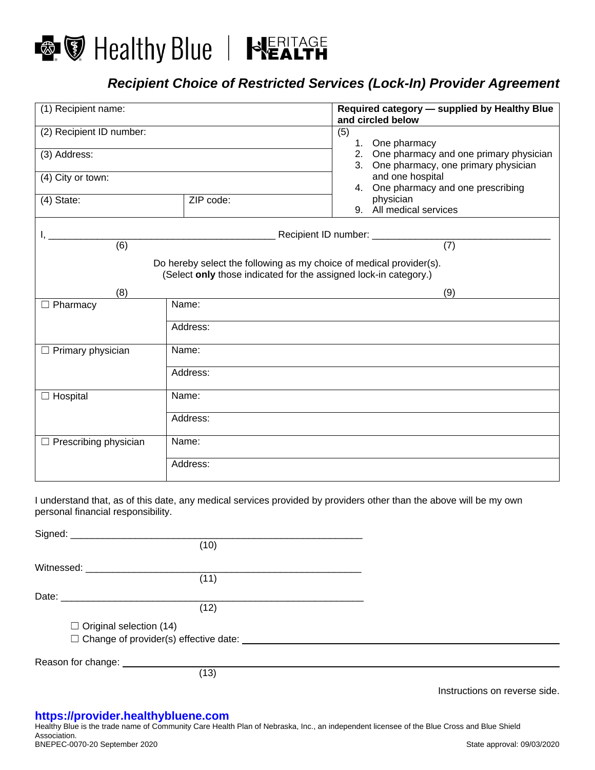

## *Recipient Choice of Restricted Services (Lock-In) Provider Agreement*

| (1) Recipient name:          |                                                                                                                                         |     | Required category - supplied by Healthy Blue<br>and circled below                   |
|------------------------------|-----------------------------------------------------------------------------------------------------------------------------------------|-----|-------------------------------------------------------------------------------------|
| (2) Recipient ID number:     |                                                                                                                                         | (5) | 1. One pharmacy                                                                     |
| (3) Address:                 |                                                                                                                                         |     | 2. One pharmacy and one primary physician<br>3. One pharmacy, one primary physician |
| (4) City or town:            |                                                                                                                                         |     | and one hospital<br>4. One pharmacy and one prescribing                             |
| $(4)$ State:                 | ZIP code:                                                                                                                               |     | physician<br>9. All medical services                                                |
|                              |                                                                                                                                         |     | Recipient ID number: ____________                                                   |
| (6)                          |                                                                                                                                         |     | (7)                                                                                 |
|                              | Do hereby select the following as my choice of medical provider(s).<br>(Select only those indicated for the assigned lock-in category.) |     |                                                                                     |
| (8)                          |                                                                                                                                         |     | (9)                                                                                 |
| $\Box$ Pharmacy              | Name:                                                                                                                                   |     |                                                                                     |
|                              | Address:                                                                                                                                |     |                                                                                     |
| $\Box$ Primary physician     | Name:                                                                                                                                   |     |                                                                                     |
|                              | Address:                                                                                                                                |     |                                                                                     |
| $\Box$ Hospital              | Name:                                                                                                                                   |     |                                                                                     |
|                              | Address:                                                                                                                                |     |                                                                                     |
| $\Box$ Prescribing physician | Name:                                                                                                                                   |     |                                                                                     |
|                              | Address:                                                                                                                                |     |                                                                                     |

I understand that, as of this date, any medical services provided by providers other than the above will be my own personal financial responsibility.

|                                     | (10)                                               |  |
|-------------------------------------|----------------------------------------------------|--|
| Witnessed: Witnessed:               |                                                    |  |
|                                     | (11)                                               |  |
|                                     |                                                    |  |
|                                     | (12)                                               |  |
| $\Box$ Original selection (14)      |                                                    |  |
|                                     | □ Change of provider(s) effective date: __________ |  |
| Reason for change: <u>contained</u> |                                                    |  |
|                                     | (13)                                               |  |
|                                     |                                                    |  |

Instructions on reverse side.

## **[https://provider.healthybluene.com](https://provider.healthybluene.com/)**

Healthy Blue is the trade name of Community Care Health Plan of Nebraska, Inc., an independent licensee of the Blue Cross and Blue Shield Association. BNEPEC-0070-20 September 2020 State approval: 09/03/2020 State approval: 09/03/2020